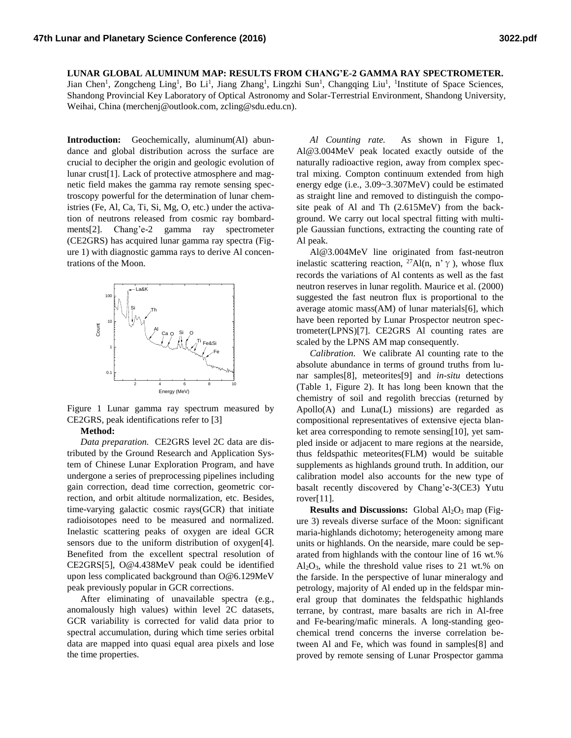**LUNAR GLOBAL ALUMINUM MAP: RESULTS FROM CHANG'E-2 GAMMA RAY SPECTROMETER.**

Jian Chen<sup>1</sup>, Zongcheng Ling<sup>1</sup>, Bo Li<sup>1</sup>, Jiang Zhang<sup>1</sup>, Lingzhi Sun<sup>1</sup>, Changqing Liu<sup>1</sup>, <sup>1</sup>Institute of Space Sciences, Shandong Provincial Key Laboratory of Optical Astronomy and Solar-Terrestrial Environment, Shandong University, Weihai, China (merchenj@outlook.com, zcling@sdu.edu.cn).

**Introduction:** Geochemically, aluminum(Al) abundance and global distribution across the surface are crucial to decipher the origin and geologic evolution of lunar crust[1]. Lack of protective atmosphere and magnetic field makes the gamma ray remote sensing spectroscopy powerful for the determination of lunar chemistries (Fe, Al, Ca, Ti, Si, Mg, O, etc.) under the activation of neutrons released from cosmic ray bombardments[2]. Chang'e-2 gamma ray spectrometer (CE2GRS) has acquired lunar gamma ray spectra (Figure 1) with diagnostic gamma rays to derive Al concentrations of the Moon.



Figure 1 Lunar gamma ray spectrum measured by CE2GRS, peak identifications refer to [3]

## **Method:**

*Data preparation.* CE2GRS level 2C data are distributed by the Ground Research and Application System of Chinese Lunar Exploration Program, and have undergone a series of preprocessing pipelines including gain correction, dead time correction, geometric correction, and orbit altitude normalization, etc. Besides, time-varying galactic cosmic rays(GCR) that initiate radioisotopes need to be measured and normalized. Inelastic scattering peaks of oxygen are ideal GCR sensors due to the uniform distribution of oxygen[4]. Benefited from the excellent spectral resolution of CE2GRS[5], O@4.438MeV peak could be identified upon less complicated background than O@6.129MeV peak previously popular in GCR corrections.

After eliminating of unavailable spectra (e.g., anomalously high values) within level 2C datasets, GCR variability is corrected for valid data prior to spectral accumulation, during which time series orbital data are mapped into quasi equal area pixels and lose the time properties.

*Al Counting rate.* As shown in Figure 1, Al@3.004MeV peak located exactly outside of the naturally radioactive region, away from complex spectral mixing. Compton continuum extended from high energy edge (i.e., 3.09~3.307MeV) could be estimated as straight line and removed to distinguish the composite peak of Al and Th (2.615MeV) from the background. We carry out local spectral fitting with multiple Gaussian functions, extracting the counting rate of Al peak.

Al@3.004MeV line originated from fast-neutron inelastic scattering reaction, <sup>27</sup>Al(n, n'γ), whose flux records the variations of Al contents as well as the fast neutron reserves in lunar regolith. Maurice et al. (2000) suggested the fast neutron flux is proportional to the average atomic mass(AM) of lunar materials[6], which have been reported by Lunar Prospector neutron spectrometer(LPNS)[7]. CE2GRS Al counting rates are scaled by the LPNS AM map consequently.

*Calibration.* We calibrate Al counting rate to the absolute abundance in terms of ground truths from lunar samples[8], meteorites[9] and *in-situ* detections (Table 1, Figure 2). It has long been known that the chemistry of soil and regolith breccias (returned by Apollo(A) and Luna(L) missions) are regarded as compositional representatives of extensive ejecta blanket area corresponding to remote sensing[10], yet sampled inside or adjacent to mare regions at the nearside, thus feldspathic meteorites(FLM) would be suitable supplements as highlands ground truth. In addition, our calibration model also accounts for the new type of basalt recently discovered by Chang'e-3(CE3) Yutu rover[11].

**Results and Discussions:** Global Al<sub>2</sub>O<sub>3</sub> map (Figure 3) reveals diverse surface of the Moon: significant maria-highlands dichotomy; heterogeneity among mare units or highlands. On the nearside, mare could be separated from highlands with the contour line of 16 wt.%  $Al_2O_3$ , while the threshold value rises to 21 wt.% on the farside. In the perspective of lunar mineralogy and petrology, majority of Al ended up in the feldspar mineral group that dominates the feldspathic highlands terrane, by contrast, mare basalts are rich in Al-free and Fe-bearing/mafic minerals. A long-standing geochemical trend concerns the inverse correlation between Al and Fe, which was found in samples[8] and proved by remote sensing of Lunar Prospector gamma